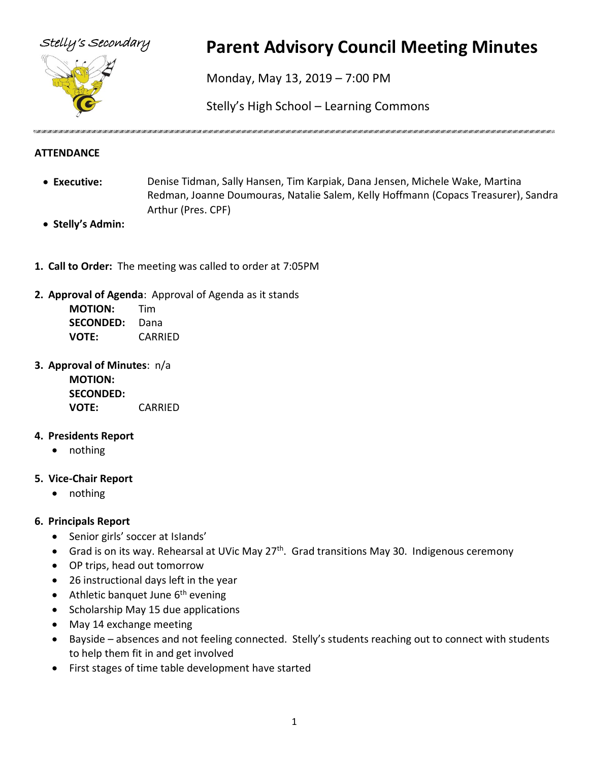

# Stelly's Secondary **Parent Advisory Council Meeting Minutes**

Monday, May 13, 2019 – 7:00 PM

Stelly's High School – Learning Commons

## **ATTENDANCE**

- **Executive:** Denise Tidman, Sally Hansen, Tim Karpiak, Dana Jensen, Michele Wake, Martina Redman, Joanne Doumouras, Natalie Salem, Kelly Hoffmann (Copacs Treasurer), Sandra Arthur (Pres. CPF)
- **Stelly's Admin:**
- **1. Call to Order:** The meeting was called to order at 7:05PM

## **2. Approval of Agenda**: Approval of Agenda as it stands

| <b>MOTION:</b>   | Tim     |
|------------------|---------|
| <b>SECONDED:</b> | Dana    |
| <b>VOTE:</b>     | CARRIED |

**3. Approval of Minutes**: n/a **MOTION: SECONDED: VOTE:** CARRIED

## **4. Presidents Report**

• nothing

## **5. Vice-Chair Report**

• nothing

## **6. Principals Report**

- Senior girls' soccer at IsIands'
- Grad is on its way. Rehearsal at UVic May 27<sup>th</sup>. Grad transitions May 30. Indigenous ceremony
- OP trips, head out tomorrow
- 26 instructional days left in the year
- Athletic banquet June  $6<sup>th</sup>$  evening
- Scholarship May 15 due applications
- May 14 exchange meeting
- Bayside absences and not feeling connected. Stelly's students reaching out to connect with students to help them fit in and get involved
- First stages of time table development have started